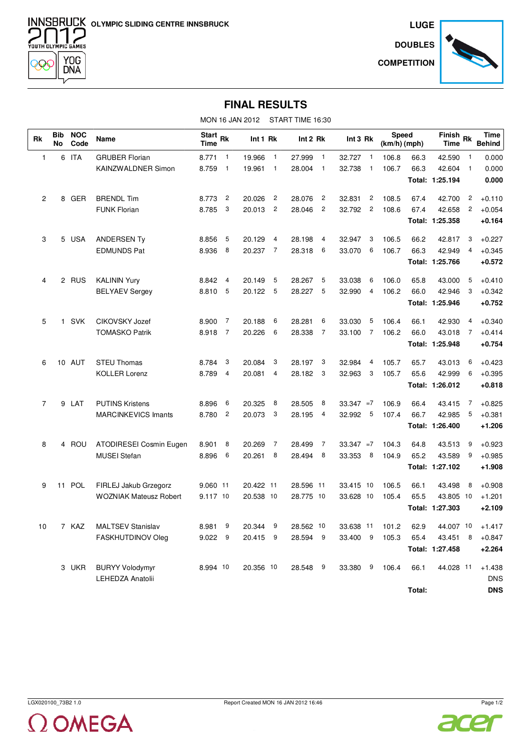**OLYMPIC SLIDING CENTRE INNSBRUCK**<br> **OOOO** 



**DOUBLES COMPETITION**



## **FINAL RESULTS**

MON 16 JAN 2012 START TIME 16:30

| <b>Rk</b>      | <b>Bib</b><br><b>No</b> | <b>NOC</b><br>Code | Name                           | Start <sub>Rk</sub><br><b>Time</b> |                | Int 1 Rk  |                | Int 2 Rk  |                | Int 3 Rk     |                | <b>Speed</b><br>(km/h) (mph) |        | Finish Rk<br><b>Time</b> |                | <b>Time</b><br><b>Behind</b> |
|----------------|-------------------------|--------------------|--------------------------------|------------------------------------|----------------|-----------|----------------|-----------|----------------|--------------|----------------|------------------------------|--------|--------------------------|----------------|------------------------------|
| 1              | 6                       | <b>ITA</b>         | <b>GRUBER Florian</b>          | 8.771                              | $\mathbf{1}$   | 19.966    | $\overline{1}$ | 27.999    | $\overline{1}$ | 32.727       | $\overline{1}$ | 106.8                        | 66.3   | 42.590                   | $\mathbf{1}$   | 0.000                        |
|                |                         |                    | KAINZWALDNER Simon             | 8.759                              | $\overline{1}$ | 19.961    | $\overline{1}$ | 28.004    | $\overline{1}$ | 32.738       | $\overline{1}$ | 106.7                        | 66.3   | 42.604                   | $\mathbf{1}$   | 0.000                        |
|                |                         |                    |                                |                                    |                |           |                |           |                |              |                |                              |        | Total: 1:25.194          |                | 0.000                        |
| $\overline{2}$ | 8                       | GER                | <b>BRENDL Tim</b>              | 8.773                              | $\overline{c}$ | 20.026    | $\overline{c}$ | 28.076    | $\overline{c}$ | 32.831       | $\overline{c}$ | 108.5                        | 67.4   | 42.700                   | $\overline{c}$ | $+0.110$                     |
|                |                         |                    | <b>FUNK Florian</b>            | 8.785                              | 3              | 20.013    | $\overline{c}$ | 28.046    | $\overline{c}$ | 32.792       | $\overline{c}$ | 108.6                        | 67.4   | 42.658                   | $\overline{c}$ | $+0.054$                     |
|                |                         |                    |                                |                                    |                |           |                |           |                |              |                |                              |        | Total: 1:25.358          |                | $+0.164$                     |
| 3              |                         | 5 USA              | <b>ANDERSEN Ty</b>             | 8.856                              | 5              | 20.129    | 4              | 28.198    | 4              | 32.947       | 3              | 106.5                        | 66.2   | 42.817                   | 3              | $+0.227$                     |
|                |                         |                    | <b>EDMUNDS Pat</b>             | 8.936                              | 8              | 20.237    | $\overline{7}$ | 28.318    | 6              | 33.070       | 6              | 106.7                        | 66.3   | 42.949                   | $\overline{4}$ | $+0.345$                     |
|                |                         |                    |                                |                                    |                |           |                |           |                |              |                |                              |        | Total: 1:25.766          |                | $+0.572$                     |
| $\overline{4}$ |                         | 2 RUS              | <b>KALININ Yury</b>            | 8.842                              | 4              | 20.149    | 5              | 28.267    | 5              | 33.038       | 6              | 106.0                        | 65.8   | 43.000                   | 5              | $+0.410$                     |
|                |                         |                    | <b>BELYAEV Sergey</b>          | 8.810                              | 5              | 20.122    | 5              | 28.227    | 5              | 32.990       | $\overline{4}$ | 106.2                        | 66.0   | 42.946                   | 3              | $+0.342$                     |
|                |                         |                    |                                |                                    |                |           |                |           |                |              |                |                              |        | Total: 1:25.946          |                | +0.752                       |
| 5              | 1                       | <b>SVK</b>         | <b>CIKOVSKY Jozef</b>          | 8.900                              | $\overline{7}$ | 20.188    | 6              | 28.281    | 6              | 33.030       | 5              | 106.4                        | 66.1   | 42.930                   | 4              | $+0.340$                     |
|                |                         |                    | <b>TOMASKO Patrik</b>          | 8.918                              | $\overline{7}$ | 20.226    | 6              | 28.338    | $\overline{7}$ | 33.100       | $\overline{7}$ | 106.2                        | 66.0   | 43.018                   | 7              | $+0.414$                     |
|                |                         |                    |                                |                                    |                |           |                |           |                |              |                |                              |        | Total: 1:25.948          |                | $+0.754$                     |
| 6              |                         | 10 AUT             | <b>STEU Thomas</b>             | 8.784                              | 3              | 20.084    | 3              | 28.197    | 3              | 32.984       | 4              | 105.7                        | 65.7   | 43.013                   | 6              | $+0.423$                     |
|                |                         |                    | <b>KOLLER Lorenz</b>           | 8.789                              | 4              | 20.081    | 4              | 28.182    | -3             | 32.963       | 3              | 105.7                        | 65.6   | 42.999                   | 6              | $+0.395$                     |
|                |                         |                    |                                |                                    |                |           |                |           |                |              |                |                              |        | Total: 1:26.012          |                | $+0.818$                     |
| $\overline{7}$ | 9                       | LAT                | <b>PUTINS Kristens</b>         | 8.896                              | 6              | 20.325    | 8              | 28.505    | 8              | $33.347 = 7$ |                | 106.9                        | 66.4   | 43.415                   | 7              | $+0.825$                     |
|                |                         |                    | <b>MARCINKEVICS Imants</b>     | 8.780                              | $\overline{c}$ | 20.073    | 3              | 28.195    | 4              | 32.992       | 5              | 107.4                        | 66.7   | 42.985                   | 5              | $+0.381$                     |
|                |                         |                    |                                |                                    |                |           |                |           |                |              |                |                              |        | Total: 1:26.400          |                | $+1.206$                     |
| 8              | 4                       | ROU                | <b>ATODIRESEI Cosmin Eugen</b> | 8.901                              | 8              | 20.269    | $\overline{7}$ | 28.499    | $\overline{7}$ | $33.347 = 7$ |                | 104.3                        | 64.8   | 43.513                   | 9              | $+0.923$                     |
|                |                         |                    | <b>MUSEI Stefan</b>            | 8.896                              | 6              | 20.261    | 8              | 28.494    | 8              | 33.353       | 8              | 104.9                        | 65.2   | 43.589                   | 9              | $+0.985$                     |
|                |                         |                    |                                |                                    |                |           |                |           |                |              |                |                              |        | Total: 1:27.102          |                | $+1.908$                     |
| 9              |                         | 11 POL             | FIRLEJ Jakub Grzegorz          | 9.060 11                           |                | 20.422 11 |                | 28.596 11 |                | 33.415 10    |                | 106.5                        | 66.1   | 43.498                   | 8              | $+0.908$                     |
|                |                         |                    | <b>WOZNIAK Mateusz Robert</b>  | 9.117 10                           |                | 20.538 10 |                | 28.775 10 |                | 33.628 10    |                | 105.4                        | 65.5   | 43.805 10                |                | $+1.201$                     |
|                |                         |                    |                                |                                    |                |           |                |           |                |              |                |                              |        | Total: 1:27.303          |                | $+2.109$                     |
| 10             |                         | 7 KAZ              | <b>MALTSEV Stanislav</b>       | 8.981                              | 9              | 20.344    | 9              | 28.562 10 |                | 33.638 11    |                | 101.2                        | 62.9   | 44.007 10                |                | $+1.417$                     |
|                |                         |                    | <b>FASKHUTDINOV Oleg</b>       | 9.022                              | 9              | 20.415    | 9              | 28.594    | - 9            | 33.400       | 9              | 105.3                        | 65.4   | 43.451                   | 8              | $+0.847$                     |
|                |                         |                    |                                |                                    |                |           |                |           |                |              |                |                              |        | Total: 1:27.458          |                | $+2.264$                     |
|                |                         | 3 UKR              | <b>BURYY Volodymyr</b>         | 8.994 10                           |                | 20.356 10 |                | 28.548    | 9              | 33.380       | 9              | 106.4                        | 66.1   | 44.028 11                |                | $+1.438$                     |
|                |                         |                    | <b>LEHEDZA Anatolii</b>        |                                    |                |           |                |           |                |              |                |                              |        |                          |                | <b>DNS</b>                   |
|                |                         |                    |                                |                                    |                |           |                |           |                |              |                |                              | Total: |                          |                | <b>DNS</b>                   |